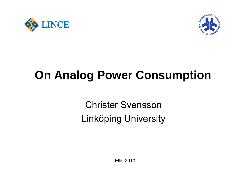



# **On Analog Power Consumption**

Christer Svensson Linköping University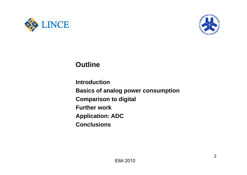



### **Outline**

**Introduction Basics of analog power consumption Comparison to digital Further work Application: ADC Conclusions**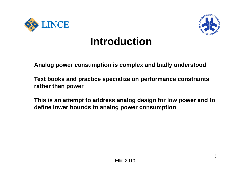



# **Introduction**

**Analogp p p y power consumption is complex and badly understood**

**Text books and practice specialize on performance constraints rather than power**

**This is an attempt to address analog design for low power and to define lower bounds to analog power consumption**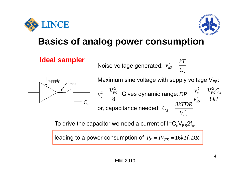





| Ideal sampler                                                                                | Noise voltage generated: $v_{ns}^2 = \frac{kT}{C_s}$            |
|----------------------------------------------------------------------------------------------|-----------------------------------------------------------------|
| \n $\begin{array}{r}\n \text{I}_{\text{suppply}} \\  \text{I}_{\text{max}}\n \end{array}$ \n | \n        Maximum sine voltage with supply voltage $V_{FS}$ :\n |
| \n $v_s^2 = \frac{V_{FS}^2}{8}$ \n                                                           | \n        Given the following expression:\n                     |
| \n $v_s^2 = \frac{V_{FS}^2}{8}$ \n                                                           | \n        Given the equation:\n                                 |
| \n $v_s^2 = \frac{V_{FS}^2}{8}$ \n                                                           | \n        Given the equation:\n                                 |
| \n $C_s = \frac{8kTDR}{V_{FS}^2}$ \n                                                         | \n $V_{TS}^2$ \n                                                |

To drive the capacitor we need a current of  $I=C_sV_{FS}2f_s$ ,

leading to a power consumption of  $\emph{P}_{\textrm{S}} = \emph{IV}_{FS} = 16 \emph{k} \emph{Tf}_{\textrm{s}} \emph{DR}$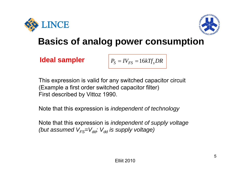



**Ideal sampler** 

$$
P_S = IV_{FS} = 16kTf_sDR
$$

This expression is valid for any switched capacitor circuit (Example a first order switched capacitor filter) First described by Vittoz 1990.

N t th t thi i i Note that this expression is *i d d t ft h l independent of technology*

Note that this expression is *independent of supply voltage* (but assumed V<sub>FS</sub>=V<sub>dd</sub>; V<sub>dd</sub> is supply voltage)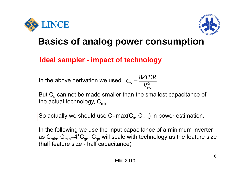



### **Ideal sampler - impact of technology**

In the above derivation we used  $C_{\scriptscriptstyle S}=\frac{\cup\{1\}}{V^2}$ 8 *FS* $S$  *V kTDR* $C<sub>s</sub> = \frac{S}{\sqrt{S}}$  $V_{FS}^{\scriptscriptstyle\, L}$ 

But  $\mathsf{C}_\mathbf{s}$  can not be made smaller than the smallest capacitance of the actual technology,  $C_{min}$ .

So actually we should use  $C=max(C<sub>s</sub>, C<sub>min</sub>)$  in power estimation.

In the following we use the input capacitance of a minimum inverter as  $C_{min}$ .  $C_{min}$ =4\* $C_{qn}$ .  $C_{qn}$  will scale with technology as the feature size (half feature size - half capacitance)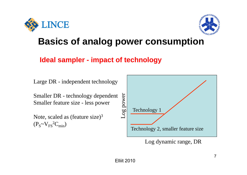



### **Ideal sampler - impact of technology**

Large DR - independent technology

Smaller DR - technology dependent  $\frac{55}{8}$ <br>Smaller feature size - less power

Note, scaled as (feature size) $3$  $(P_S \sim V_{FS}^2C_{min})$ 



Log dynamic range, DR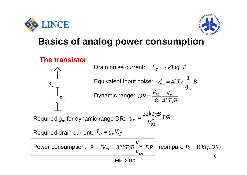LINCE



## **Basics of analog power consumption**

### **The transistor**



 $\bm{\mathrm{D}}$ rain noise current:  $i_{nD}^{\,2} = 4kT\gamma g_{_{m}}B$  $R_L$  **Equivalent input noise:**  $v_{nG}^2 = 4kT\gamma \frac{1}{a}B$ *g gm* $kT$ *p* $B$  $DR = \frac{V_{FS}^2}{F} - \frac{g_m}{F}$ 8  $4kT$ yi  $g_m$  Dynamic range:  $DR = \frac{V_{F2}^2}{8}$ 

Required  $\boldsymbol{\mathsf{g}}_{\mathsf{m}}$  $\epsilon_{\rm m}$  for dynamic range DR:  $\; g_{_{m}} = \frac{32kT\gamma B}{V_{FS}^{2}}DR_{_{m}}$ 

Required drain current:  $I_{\scriptscriptstyle D}$  =  $g_{\scriptscriptstyle m}$ V $_{\scriptscriptstyle eff}$ 

Power consumption:  $P = IV_{\text{rec}} = 32kT\gamma B \frac{e\text{ }e\text{ }t\text{ }t\text{ } }D R$  (compare  $P_{\text{S}} = 16kTf_{\text{s}}DR$ )  $P = IV_{FS} = 32kT\gamma B \frac{V_{eff}}{V_{FS}}DR$  (compare  $P_S = 16kTf_sDR$ 8*FS ff FS*  $P_S = IV_{FS} = 32kT\gamma B \stackrel{e\text{\scriptsize{f\hspace{-1.2mm}I}}} {\text{\scriptsize{f\hspace{-1.2mm}I}}} DR \mid$  (compare  $P_S = 16kTf_sDR$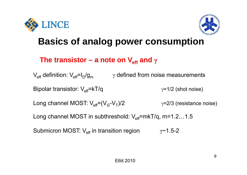



### **The transistor – a note on V<sub>eff</sub> and**  $γ$

 $\mathsf{V}_\mathsf{eff}$  definition:  $\mathsf{V}_\mathsf{eff}$ =I<sub>D</sub>/g<sub>m</sub>  $\gamma$  defined from noise measurements Bipolar transistor: V<sub>eff</sub>=kT/q  $\gamma$ =1/2 (shot noise) Long channel MOST:  $V_{\text{eff}}=(V_{\text{G}}-V_{\text{T}})/2$   $\gamma=2/3$  (resistance noise) Long channel MOST in subthreshold:  $V_{\text{eff}}$ =mkT/q, m=1.2…1.5 Submicron MOST: V<sub>eff</sub> in transition region  $\gamma$ ~1.5-2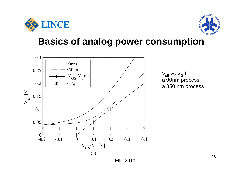



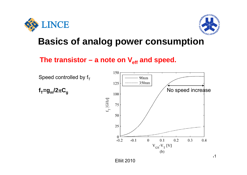



### **The transistor – a note on Veff and speed.**

Speed controlled by  $f_T$ 

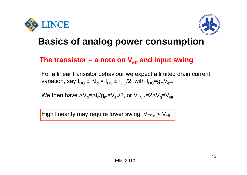



### **The transistor – a note on Veff and input swing**

For a linear transistor behaviour we expect a limited drain current variation, say I<sub>DC</sub> ±  $\Delta \mathsf{I_d}$  = I<sub>DC</sub> ± I<sub>DC</sub>/2, with I<sub>DC</sub>=g<sub>m</sub>V<sub>eff</sub>.

We then have  $\Delta\mathsf{V}_{\mathsf{g}}$ = $\Delta\mathsf{i}_{\mathsf{d}}$ /g $_{\mathsf{m}}$ =V $_{\mathsf{eff}}$ /2, or V $_{\mathsf{FSin}}$ =2 $\Delta\mathsf{V}_{\mathsf{g}}$ =V $_{\mathsf{eff}}$ 

High linearity may require lower swing,  $\mathsf{V}_{\mathsf{FSin}}$  <  $\mathsf{V}_{\mathsf{eff}}$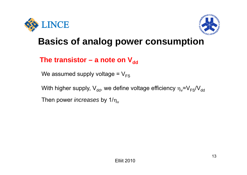



### The transistor – a note on  $V_{dd}$

We assumed supply voltage =  $V_{FS}$ 

With higher supply,  $V_{dd}$ , we define voltage efficiency  $\eta_v=V_{FS}/V_{dd}$ 

Then power *increases* by  $1/\eta_v$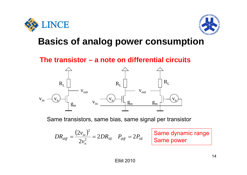



**The transistor – a note on differential circuits**



Same transistors, same bias, same signal per transistor

$$
DR_{\text{diff}} = \frac{(2v_{\text{in}})^2}{2v_{\text{in}}^2} = 2DR_{\text{SE}} \quad P_{\text{diff}} = 2P_{\text{SE}}
$$

**Same dynamic range<br>
<b>Same power**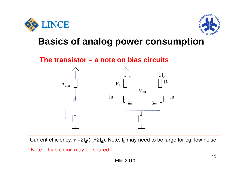



### **The transistor – a note on bias circuits**



Current efficiency,  $\eta_{\sf I}$ =2I<sub>d</sub>/(I<sub>b</sub>+2I<sub>d</sub>). Note, I<sub>b</sub> may need to be large for eg. low noise

#### Note – bias circuit may be shared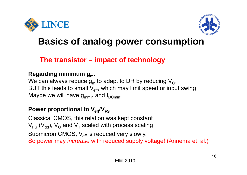



### **The transistor – impact of technology**

#### **Regarding minimum gm.**

We can always reduce  $\mathsf{g}_{\mathsf{m}}$  to adapt to DR by reducing  $\mathsf{V}_{\mathsf{G}}.$ BUT this leads to small  $\mathsf{V}_{\mathsf{eff}}$ , which may limit speed or input swing Maybe we will have  $g_{mmin}$  and  $I_{\mathsf{DCmin}}.$ 

### **P ti l t V Power proportional to Veff/VFS**

Classical CMOS, this relation was kept constant  $\mathsf{V}_{\mathsf{FS}}$  (V<sub>dd</sub>), V<sub>G</sub> and V<sub>T</sub> scaled with process scaling Submicron CMOS, V<sub>eff</sub> is reduced very slowly. So power may *increase* with reduced supply voltage! (Annema et. al.)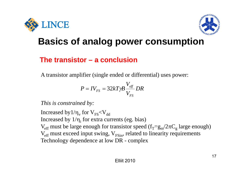



### **The transistor – a conclusion**

A transistor amplifier (single ended or differential) uses power:

$$
P = IV_{FS} = 32kT\gamma B \frac{V_{\text{eff}}}{V_{FS}} DR
$$

*This is constrained by:*

Increased by $1/\eta_{\rm v}$  for  $\rm V_{FS}$ < $\rm V_{dd}$ Increased by  $1/\eta_i$  for extra currents (eg. bias)  $V_{\rm eff}$  must be large enough for transistor speed ( $f_{\rm T}$ – $g_{\rm m}/2\pi C_{\rm g}$  large enough)  $V_{\text{eff}}$  must exceed input swing,  $V_{\text{FSin}}$ , related to linearity requirements Technology dependence at low DR - complex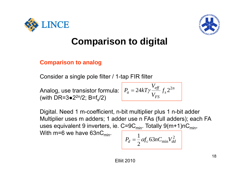



## **Comparison to digital**

#### **Comparison to analog**

Consider a single pole filter / 1-tap FIR filter

Analog, use transistor formula: (with DR=3 $\bullet$ 2<sup>2n</sup>/2; B=f<sub>s</sub>/2)

$$
P_a = 24kT\gamma \frac{V_{\text{eff}}}{V_{\text{FS}}} f_s 2^{2n}
$$

Digital. Need 1 m-coefficient, n-bit multiplier plus 1 n-bit adder Multiplier uses m adders; 1 adder use n FAs (full adders); each FA uses equivalent 9 inverters, ie. C=9C<sub>min</sub>. Totally 9(m+1)nC<sub>min</sub>, With m=6 we have  $63nC<sub>min</sub>$ .

$$
P_d = \frac{1}{2} \alpha f_c 63 n C_{\min} V_{dd}^2
$$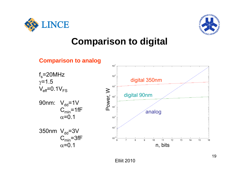



## **Comparison to digital**

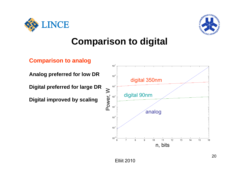



## **Comparison to digital**



**Analog preferred for low DR**

**Digital preferred for large DR large**

**Digital improved by scaling**

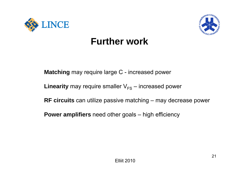



## **Further work**

**Matching** may require large C - increased power

 $\tt Linearity$  may require smaller  $\mathsf{V}_{\textsf{FS}}-$  increased power

**RF circuits** can utilize passive matching – may decrease power

**Power amplifiers** need other goals – high efficiency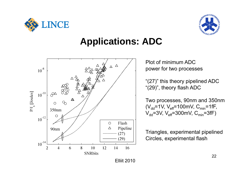



## **Applications: ADC**



Plot of minimum ADCpower for two processes

"(27)" this theory pipelined ADC "(29)", theory flash ADC

Two processes, 90nm and 350nm ( $V_{dd}$ =1V,  $V_{eff}$ =100mV,  $C_{min}$ =1fF,  $V_{dd}$ =3V,  $V_{eff}$ =300mV,  $C_{min}$ =3fF)

Triangles, experimental pipelined Circles, experimental flash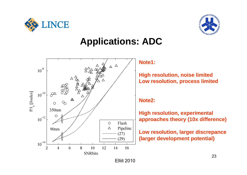



## **Applications: ADC**



#### **Note1:**

**High resolution, noise limited Low resolution, process limited**

#### **Note2:**

**High resolution, experimental approaches theory (10x difference)**

**Low resolution, larger discrepance (larger development potential)**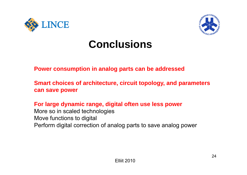



# **Conclusions**

#### **P ti i l t b dd d Power consumption in analog parts can be addressed**

**Smart choices of architecture, circuit topology, and parameters can save power**

**For large dynamic range, digital often use less power** More so in scaled technologies Move functions to digital Perform digital correction of analog parts to save analog power